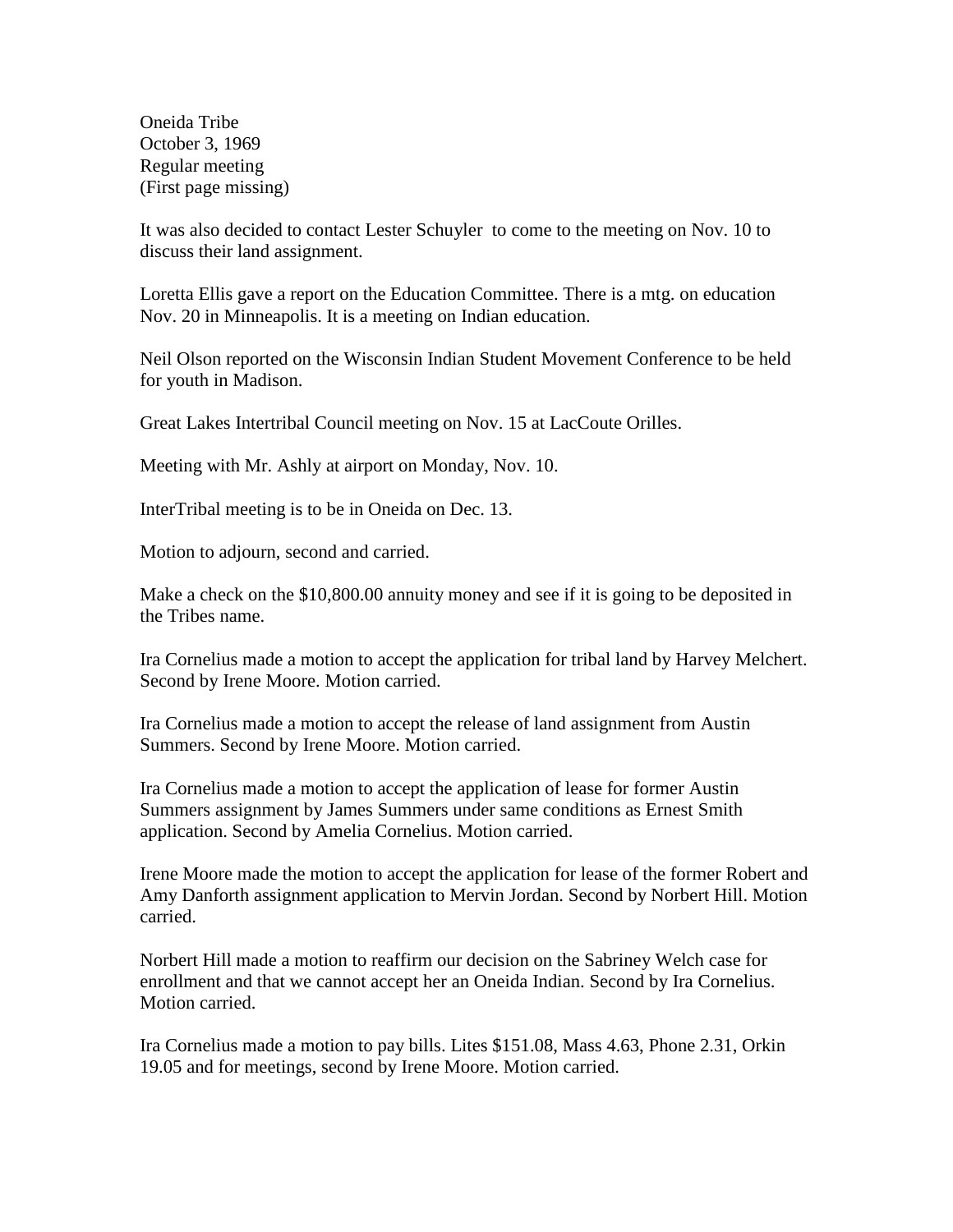Oneida Tribe October 3, 1969 Regular meeting (First page missing)

It was also decided to contact Lester Schuyler to come to the meeting on Nov. 10 to discuss their land assignment.

Loretta Ellis gave a report on the Education Committee. There is a mtg. on education Nov. 20 in Minneapolis. It is a meeting on Indian education.

Neil Olson reported on the Wisconsin Indian Student Movement Conference to be held for youth in Madison.

Great Lakes Intertribal Council meeting on Nov. 15 at LacCoute Orilles.

Meeting with Mr. Ashly at airport on Monday, Nov. 10.

InterTribal meeting is to be in Oneida on Dec. 13.

Motion to adjourn, second and carried.

Make a check on the \$10,800.00 annuity money and see if it is going to be deposited in the Tribes name.

Ira Cornelius made a motion to accept the application for tribal land by Harvey Melchert. Second by Irene Moore. Motion carried.

Ira Cornelius made a motion to accept the release of land assignment from Austin Summers. Second by Irene Moore. Motion carried.

Ira Cornelius made a motion to accept the application of lease for former Austin Summers assignment by James Summers under same conditions as Ernest Smith application. Second by Amelia Cornelius. Motion carried.

Irene Moore made the motion to accept the application for lease of the former Robert and Amy Danforth assignment application to Mervin Jordan. Second by Norbert Hill. Motion carried.

Norbert Hill made a motion to reaffirm our decision on the Sabriney Welch case for enrollment and that we cannot accept her an Oneida Indian. Second by Ira Cornelius. Motion carried.

Ira Cornelius made a motion to pay bills. Lites \$151.08, Mass 4.63, Phone 2.31, Orkin 19.05 and for meetings, second by Irene Moore. Motion carried.